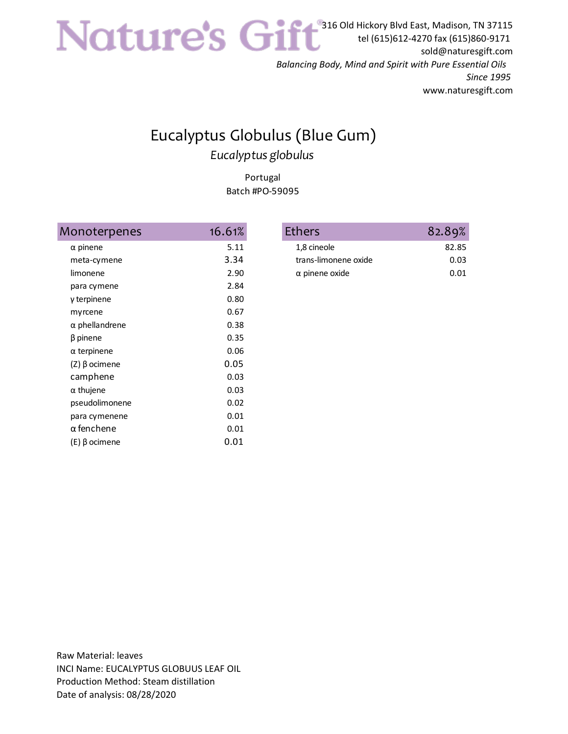316 Old Hickory Blvd East, Madison, TN 37115 tel (615)612-4270 fax (615)860-9171 sold@naturesgift.com

*Balancing Body, Mind and Spirit with Pure Essential Oils Since 1995* www.naturesgift.com

## Eucalyptus Globulus (Blue Gum) *Eucalyptus globulus*

Portugal Batch #PO-59095

| Monoterpenes          | 16.61% | <b>Ethers</b>         |
|-----------------------|--------|-----------------------|
| $\alpha$ pinene       | 5.11   | 1,8 cineole           |
| meta-cymene           | 3.34   | trans-limonene oxide  |
| limonene              | 2.90   | $\alpha$ pinene oxide |
| para cymene           | 2.84   |                       |
| γ terpinene           | 0.80   |                       |
| myrcene               | 0.67   |                       |
| $\alpha$ phellandrene | 0.38   |                       |
| $\beta$ pinene        | 0.35   |                       |
| $\alpha$ terpinene    | 0.06   |                       |
| (Ζ) β ocimene         | 0.05   |                       |
| camphene              | 0.03   |                       |
| $\alpha$ thujene      | 0.03   |                       |
| pseudolimonene        | 0.02   |                       |
| para cymenene         | 0.01   |                       |
| $\alpha$ fenchene     | 0.01   |                       |
| (E) β ocimene         | 0.01   |                       |

| thers                 | 82.89% |
|-----------------------|--------|
| 1,8 cineole           | 82.85  |
| trans-limonene oxide  | 0.03   |
| $\alpha$ pinene oxide | 0.01   |
|                       |        |

Raw Material: leaves INCI Name: EUCALYPTUS GLOBUUS LEAF OIL Production Method: Steam distillation Date of analysis: 08/28/2020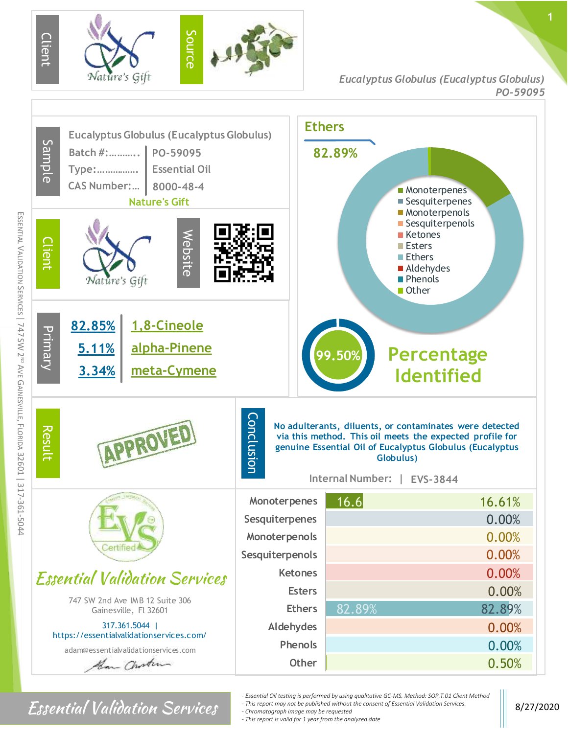

*Eucalyptus Globulus (Eucalyptus Globulus) P O-59095*



## $\textbf{Essential Valiation}$  8/27/2020

- *- Essential Oil testing is performed by using qualitative GC-MS. Method: SOP.T.01 Client Method*
- *- This report may not be published without the consent of Essential Validation Services. - Chromatograph image may be requested*
- *- This report is valid for 1 year from the analyzed date*